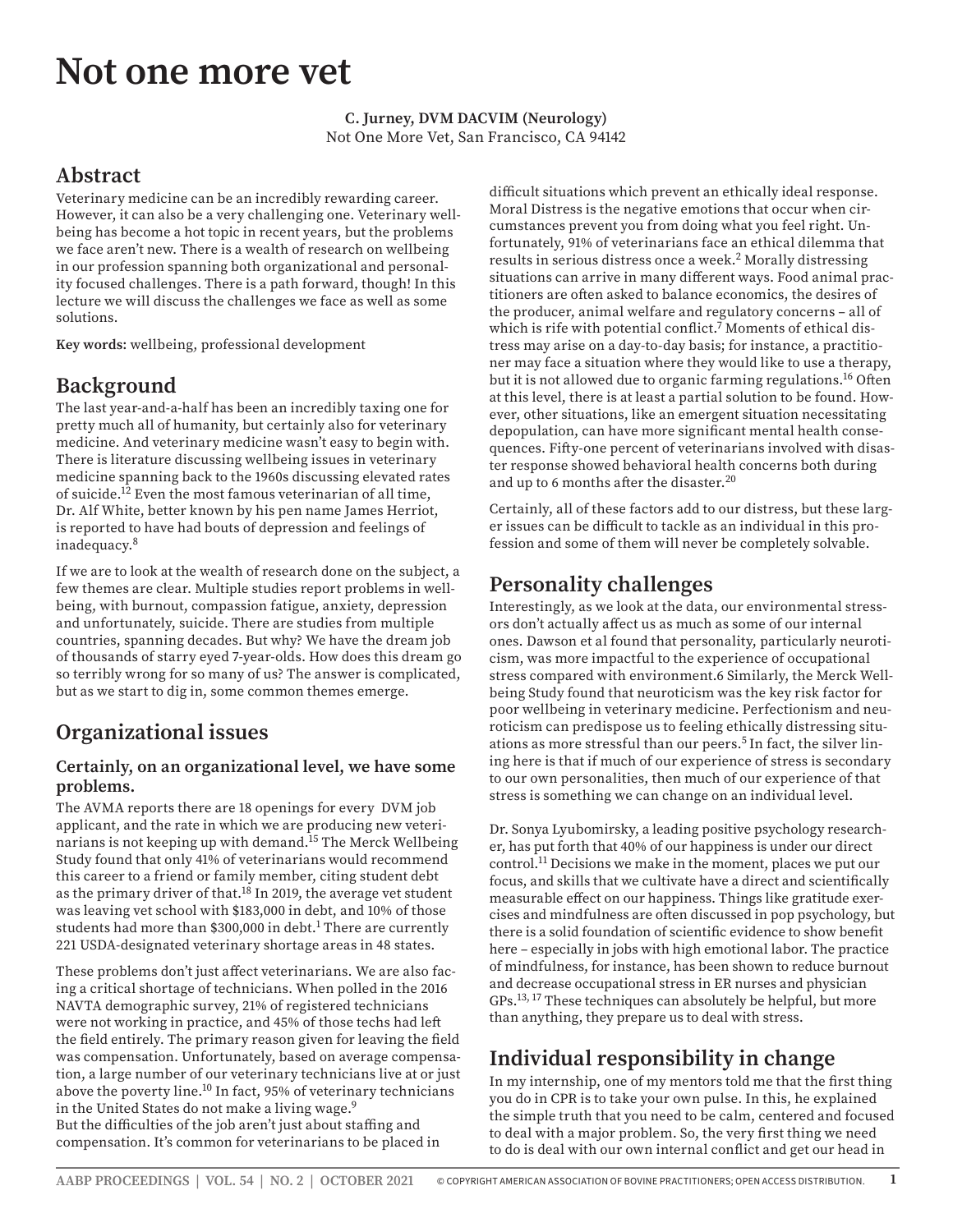# **Not one more vet**

#### **C. Jurney, DVM DACVIM (Neurology)** Not One More Vet, San Francisco, CA 94142

## **Abstract**

Veterinary medicine can be an incredibly rewarding career. However, it can also be a very challenging one. Veterinary wellbeing has become a hot topic in recent years, but the problems we face aren't new. There is a wealth of research on wellbeing in our profession spanning both organizational and personality focused challenges. There is a path forward, though! In this lecture we will discuss the challenges we face as well as some solutions.

**Key words:** wellbeing, professional development

# **Background**

The last year-and-a-half has been an incredibly taxing one for pretty much all of humanity, but certainly also for veterinary medicine. And veterinary medicine wasn't easy to begin with. There is literature discussing wellbeing issues in veterinary medicine spanning back to the 1960s discussing elevated rates of suicide.12 Even the most famous veterinarian of all time, Dr. Alf White, better known by his pen name James Herriot, is reported to have had bouts of depression and feelings of inadequacy.8

If we are to look at the wealth of research done on the subject, a few themes are clear. Multiple studies report problems in wellbeing, with burnout, compassion fatigue, anxiety, depression and unfortunately, suicide. There are studies from multiple countries, spanning decades. But why? We have the dream job of thousands of starry eyed 7-year-olds. How does this dream go so terribly wrong for so many of us? The answer is complicated, but as we start to dig in, some common themes emerge.

# **Organizational issues**

#### **Certainly, on an organizational level, we have some problems.**

The AVMA reports there are 18 openings for every DVM job applicant, and the rate in which we are producing new veterinarians is not keeping up with demand.15 The Merck Wellbeing Study found that only 41% of veterinarians would recommend this career to a friend or family member, citing student debt as the primary driver of that.<sup>18</sup> In 2019, the average vet student was leaving vet school with \$183,000 in debt, and 10% of those students had more than \$300,000 in debt.<sup>1</sup> There are currently 221 USDA-designated veterinary shortage areas in 48 states.

These problems don't just affect veterinarians. We are also facing a critical shortage of technicians. When polled in the 2016 NAVTA demographic survey, 21% of registered technicians were not working in practice, and 45% of those techs had left the field entirely. The primary reason given for leaving the field was compensation. Unfortunately, based on average compensation, a large number of our veterinary technicians live at or just above the poverty line.<sup>10</sup> In fact, 95% of veterinary technicians in the United States do not make a living wage.9 But the difficulties of the job aren't just about staffing and compensation. It's common for veterinarians to be placed in

difficult situations which prevent an ethically ideal response. Moral Distress is the negative emotions that occur when circumstances prevent you from doing what you feel right. Unfortunately, 91% of veterinarians face an ethical dilemma that results in serious distress once a week.<sup>2</sup> Morally distressing situations can arrive in many different ways. Food animal practitioners are often asked to balance economics, the desires of the producer, animal welfare and regulatory concerns – all of which is rife with potential conflict.<sup>7</sup> Moments of ethical distress may arise on a day-to-day basis; for instance, a practitioner may face a situation where they would like to use a therapy, but it is not allowed due to organic farming regulations.<sup>16</sup> Often at this level, there is at least a partial solution to be found. However, other situations, like an emergent situation necessitating depopulation, can have more significant mental health consequences. Fifty-one percent of veterinarians involved with disaster response showed behavioral health concerns both during and up to 6 months after the disaster.20

Certainly, all of these factors add to our distress, but these larger issues can be difficult to tackle as an individual in this profession and some of them will never be completely solvable.

# **Personality challenges**

Interestingly, as we look at the data, our environmental stressors don't actually affect us as much as some of our internal ones. Dawson et al found that personality, particularly neuroticism, was more impactful to the experience of occupational stress compared with environment.6 Similarly, the Merck Wellbeing Study found that neuroticism was the key risk factor for poor wellbeing in veterinary medicine. Perfectionism and neuroticism can predispose us to feeling ethically distressing situations as more stressful than our peers.5 In fact, the silver lining here is that if much of our experience of stress is secondary to our own personalities, then much of our experience of that stress is something we can change on an individual level.

Dr. Sonya Lyubomirsky, a leading positive psychology researcher, has put forth that 40% of our happiness is under our direct control.11 Decisions we make in the moment, places we put our focus, and skills that we cultivate have a direct and scientifically measurable effect on our happiness. Things like gratitude exercises and mindfulness are often discussed in pop psychology, but there is a solid foundation of scientific evidence to show benefit here – especially in jobs with high emotional labor. The practice of mindfulness, for instance, has been shown to reduce burnout and decrease occupational stress in ER nurses and physician GPs.13, 17 These techniques can absolutely be helpful, but more than anything, they prepare us to deal with stress.

# **Individual responsibility in change**

In my internship, one of my mentors told me that the first thing you do in CPR is to take your own pulse. In this, he explained the simple truth that you need to be calm, centered and focused to deal with a major problem. So, the very first thing we need to do is deal with our own internal conflict and get our head in